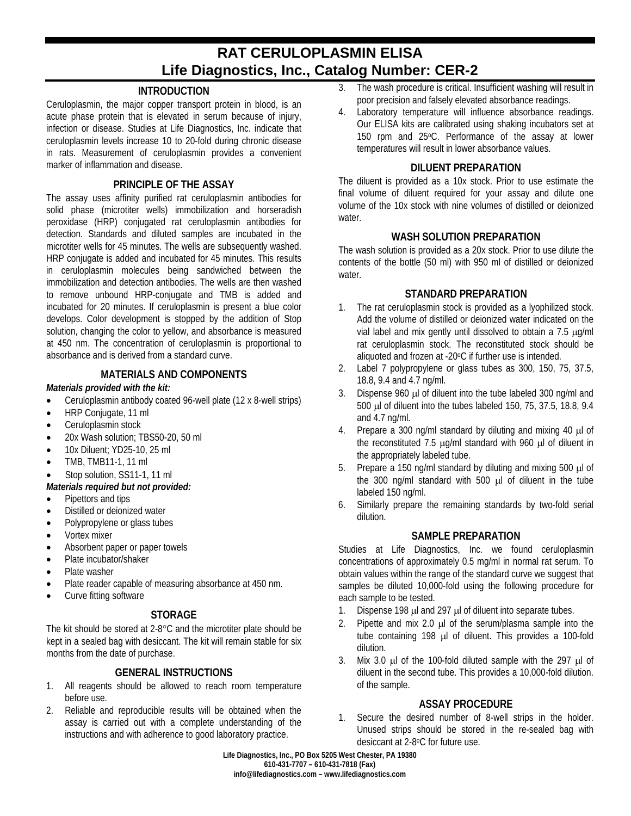# **RAT CERULOPLASMIN ELISA Life Diagnostics, Inc., Catalog Number: CER-2**

# **INTRODUCTION**

Ceruloplasmin, the major copper transport protein in blood, is an acute phase protein that is elevated in serum because of injury, infection or disease. Studies at Life Diagnostics, Inc. indicate that ceruloplasmin levels increase 10 to 20-fold during chronic disease in rats. Measurement of ceruloplasmin provides a convenient marker of inflammation and disease.

# **PRINCIPLE OF THE ASSAY**

The assay uses affinity purified rat ceruloplasmin antibodies for solid phase (microtiter wells) immobilization and horseradish peroxidase (HRP) conjugated rat ceruloplasmin antibodies for detection. Standards and diluted samples are incubated in the microtiter wells for 45 minutes. The wells are subsequently washed. HRP conjugate is added and incubated for 45 minutes. This results in ceruloplasmin molecules being sandwiched between the immobilization and detection antibodies. The wells are then washed to remove unbound HRP-conjugate and TMB is added and incubated for 20 minutes. If ceruloplasmin is present a blue color develops. Color development is stopped by the addition of Stop solution, changing the color to yellow, and absorbance is measured at 450 nm. The concentration of ceruloplasmin is proportional to absorbance and is derived from a standard curve.

### **MATERIALS AND COMPONENTS**

### *Materials provided with the kit:*

- Ceruloplasmin antibody coated 96-well plate (12 x 8-well strips)
- HRP Conjugate, 11 ml
- Ceruloplasmin stock
- 20x Wash solution; TBS50-20, 50 ml
- 10x Diluent: YD25-10, 25 ml
- TMB, TMB11-1, 11 ml
- Stop solution, SS11-1, 11 ml

#### *Materials required but not provided:*

- Pipettors and tips
- Distilled or deionized water
- Polypropylene or glass tubes
- Vortex mixer
- Absorbent paper or paper towels
- Plate incubator/shaker
- Plate washer
- Plate reader capable of measuring absorbance at 450 nm.
- Curve fitting software

# **STORAGE**

The kit should be stored at 2-8°C and the microtiter plate should be kept in a sealed bag with desiccant. The kit will remain stable for six months from the date of purchase.

## **GENERAL INSTRUCTIONS**

- 1. All reagents should be allowed to reach room temperature before use.
- 2. Reliable and reproducible results will be obtained when the assay is carried out with a complete understanding of the instructions and with adherence to good laboratory practice.
- 3. The wash procedure is critical. Insufficient washing will result in poor precision and falsely elevated absorbance readings.
- 4. Laboratory temperature will influence absorbance readings. Our ELISA kits are calibrated using shaking incubators set at 150 rpm and 25°C. Performance of the assay at lower temperatures will result in lower absorbance values.

## **DILUENT PREPARATION**

The diluent is provided as a 10x stock. Prior to use estimate the final volume of diluent required for your assay and dilute one volume of the 10x stock with nine volumes of distilled or deionized water.

### **WASH SOLUTION PREPARATION**

The wash solution is provided as a 20x stock. Prior to use dilute the contents of the bottle (50 ml) with 950 ml of distilled or deionized water.

### **STANDARD PREPARATION**

- 1. The rat ceruloplasmin stock is provided as a lyophilized stock. Add the volume of distilled or deionized water indicated on the vial label and mix gently until dissolved to obtain a 7.5 µg/ml rat ceruloplasmin stock. The reconstituted stock should be aliquoted and frozen at -20°C if further use is intended.
- 2. Label 7 polypropylene or glass tubes as 300, 150, 75, 37.5, 18.8, 9.4 and 4.7 ng/ml.
- 3. Dispense 960 µl of diluent into the tube labeled 300 ng/ml and 500 µl of diluent into the tubes labeled 150, 75, 37.5, 18.8, 9.4 and 4.7 ng/ml.
- 4. Prepare a 300 ng/ml standard by diluting and mixing 40 µl of the reconstituted 7.5  $\mu$ g/ml standard with 960  $\mu$ l of diluent in the appropriately labeled tube.
- 5. Prepare a 150 ng/ml standard by diluting and mixing 500 µl of the 300 ng/ml standard with 500 µl of diluent in the tube labeled 150 ng/ml.
- 6. Similarly prepare the remaining standards by two-fold serial dilution.

## **SAMPLE PREPARATION**

Studies at Life Diagnostics, Inc. we found ceruloplasmin concentrations of approximately 0.5 mg/ml in normal rat serum. To obtain values within the range of the standard curve we suggest that samples be diluted 10,000-fold using the following procedure for each sample to be tested.

- 1. Dispense 198  $\mu$ l and 297  $\mu$ l of diluent into separate tubes.
- 2. Pipette and mix 2.0  $\mu$  of the serum/plasma sample into the tube containing 198 µl of diluent. This provides a 100-fold dilution.
- 3. Mix 3.0 µl of the 100-fold diluted sample with the 297 µl of diluent in the second tube. This provides a 10,000-fold dilution. of the sample.

## **ASSAY PROCEDURE**

1. Secure the desired number of 8-well strips in the holder. Unused strips should be stored in the re-sealed bag with desiccant at 2-8oC for future use.

**Life Diagnostics, Inc., PO Box 5205 West Chester, PA 19380 610-431-7707 – 610-431-7818 (Fax) info@lifediagnostics.com – www.lifediagnostics.com**